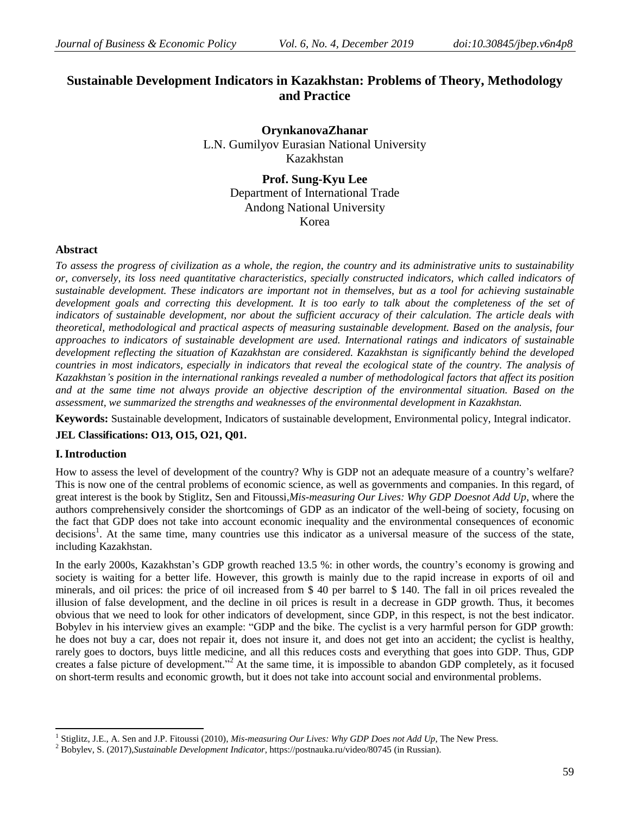# **Sustainable Development Indicators in Kazakhstan: Problems of Theory, Methodology and Practice**

**OrynkanovaZhanar** L.N. Gumilyov Eurasian National University Kazakhstan

> **Prof. Sung-Kyu Lee**  Department of International Trade Andong National University Korea

## **Abstract**

*To assess the progress of civilization as a whole, the region, the country and its administrative units to sustainability or, conversely, its loss need quantitative characteristics, specially constructed indicators, which called indicators of sustainable development. These indicators are important not in themselves, but as a tool for achieving sustainable development goals and correcting this development. It is too early to talk about the completeness of the set of indicators of sustainable development, nor about the sufficient accuracy of their calculation. The article deals with theoretical, methodological and practical aspects of measuring sustainable development. Based on the analysis, four approaches to indicators of sustainable development are used. International ratings and indicators of sustainable development reflecting the situation of Kazakhstan are considered. Kazakhstan is significantly behind the developed countries in most indicators, especially in indicators that reveal the ecological state of the country. The analysis of Kazakhstan's position in the international rankings revealed a number of methodological factors that affect its position and at the same time not always provide an objective description of the environmental situation. Based on the assessment, we summarized the strengths and weaknesses of the environmental development in Kazakhstan.*

**Keywords:** Sustainable development, Indicators of sustainable development, Environmental policy, Integral indicator.

## **JEL Classifications: O13, O15, O21, Q01.**

#### **I.Introduction**

 $\overline{a}$ 

How to assess the level of development of the country? Why is GDP not an adequate measure of a country's welfare? This is now one of the central problems of economic science, as well as governments and companies. In this regard, of great interest is the book by Stiglitz, Sen and Fitoussi,*Mis-measuring Our Lives: Why GDP Doesnot Add Up*, where the authors comprehensively consider the shortcomings of GDP as an indicator of the well-being of society, focusing on the fact that GDP does not take into account economic inequality and the environmental consequences of economic decisions<sup>1</sup>. At the same time, many countries use this indicator as a universal measure of the success of the state, including Kazakhstan.

In the early 2000s, Kazakhstan's GDP growth reached 13.5 %: in other words, the country's economy is growing and society is waiting for a better life. However, this growth is mainly due to the rapid increase in exports of oil and minerals, and oil prices: the price of oil increased from \$ 40 per barrel to \$ 140. The fall in oil prices revealed the illusion of false development, and the decline in oil prices is result in a decrease in GDP growth. Thus, it becomes obvious that we need to look for other indicators of development, since GDP, in this respect, is not the best indicator. Bobylev in his interview gives an example: "GDP and the bike. The cyclist is a very harmful person for GDP growth: he does not buy a car, does not repair it, does not insure it, and does not get into an accident; the cyclist is healthy, rarely goes to doctors, buys little medicine, and all this reduces costs and everything that goes into GDP. Thus, GDP creates a false picture of development."<sup>2</sup> At the same time, it is impossible to abandon GDP completely, as it focused on short-term results and economic growth, but it does not take into account social and environmental problems.

<sup>1</sup> Stiglitz, J.E., A. Sen and J.P. Fitoussi (2010), *Mis-measuring Our Lives: Why GDP Does not Add Up*, The New Press.

<sup>2</sup> Bobylev, S. (2017),*Sustainable Development Indicator*,<https://postnauka.ru/video/80745> (in Russian).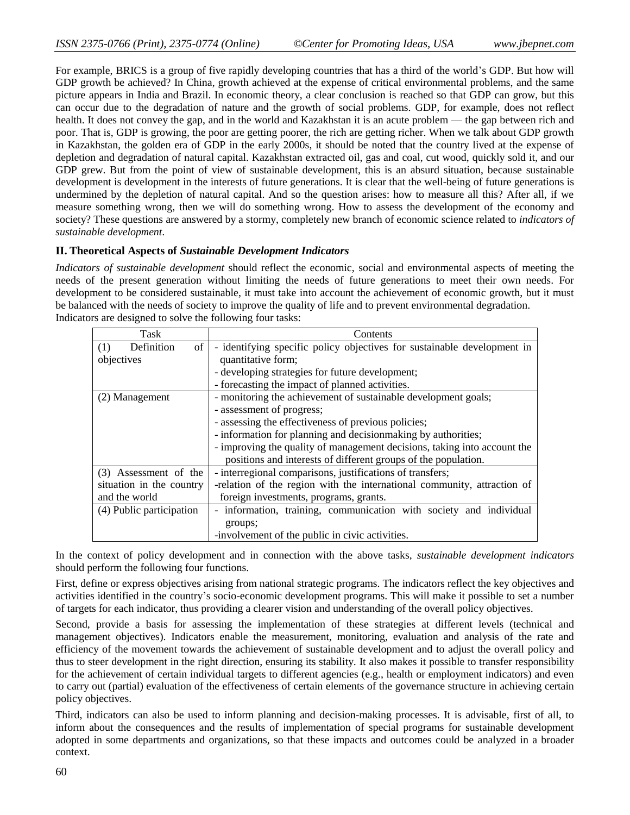For example, BRICS is a group of five rapidly developing countries that has a third of the world's GDP. But how will GDP growth be achieved? In China, growth achieved at the expense of critical environmental problems, and the same picture appears in India and Brazil. In economic theory, a clear conclusion is reached so that GDP can grow, but this can occur due to the degradation of nature and the growth of social problems. GDP, for example, does not reflect health. It does not convey the gap, and in the world and Kazakhstan it is an acute problem — the gap between rich and poor. That is, GDP is growing, the poor are getting poorer, the rich are getting richer. When we talk about GDP growth in Kazakhstan, the golden era of GDP in the early 2000s, it should be noted that the country lived at the expense of depletion and degradation of natural capital. Kazakhstan extracted oil, gas and coal, cut wood, quickly sold it, and our GDP grew. But from the point of view of sustainable development, this is an absurd situation, because sustainable development is development in the interests of future generations. It is clear that the well-being of future generations is undermined by the depletion of natural capital. And so the question arises: how to measure all this? After all, if we measure something wrong, then we will do something wrong. How to assess the development of the economy and society? These questions are answered by a stormy, completely new branch of economic science related to *indicators of sustainable development*.

## **II. Theoretical Aspects of** *Sustainable Development Indicators*

*Indicators of sustainable development* should reflect the economic, social and environmental aspects of meeting the needs of the present generation without limiting the needs of future generations to meet their own needs. For development to be considered sustainable, it must take into account the achievement of economic growth, but it must be balanced with the needs of society to improve the quality of life and to prevent environmental degradation. Indicators are designed to solve the following four tasks:

| Task                     | Contents                                                                 |
|--------------------------|--------------------------------------------------------------------------|
| Definition<br>of<br>(1)  | - identifying specific policy objectives for sustainable development in  |
| objectives               | quantitative form;                                                       |
|                          | - developing strategies for future development;                          |
|                          | - forecasting the impact of planned activities.                          |
| (2) Management           | - monitoring the achievement of sustainable development goals;           |
|                          | - assessment of progress;                                                |
|                          | - assessing the effectiveness of previous policies;                      |
|                          | - information for planning and decision making by authorities;           |
|                          | - improving the quality of management decisions, taking into account the |
|                          | positions and interests of different groups of the population.           |
| (3) Assessment of the    | - interregional comparisons, justifications of transfers;                |
| situation in the country | -relation of the region with the international community, attraction of  |
| and the world            | foreign investments, programs, grants.                                   |
| (4) Public participation | - information, training, communication with society and individual       |
|                          | groups;                                                                  |
|                          | -involvement of the public in civic activities.                          |

In the context of policy development and in connection with the above tasks, *sustainable development indicators* should perform the following four functions.

First, define or express objectives arising from national strategic programs. The indicators reflect the key objectives and activities identified in the country's socio-economic development programs. This will make it possible to set a number of targets for each indicator, thus providing a clearer vision and understanding of the overall policy objectives.

Second, provide a basis for assessing the implementation of these strategies at different levels (technical and management objectives). Indicators enable the measurement, monitoring, evaluation and analysis of the rate and efficiency of the movement towards the achievement of sustainable development and to adjust the overall policy and thus to steer development in the right direction, ensuring its stability. It also makes it possible to transfer responsibility for the achievement of certain individual targets to different agencies (e.g., health or employment indicators) and even to carry out (partial) evaluation of the effectiveness of certain elements of the governance structure in achieving certain policy objectives.

Third, indicators can also be used to inform planning and decision-making processes. It is advisable, first of all, to inform about the consequences and the results of implementation of special programs for sustainable development adopted in some departments and organizations, so that these impacts and outcomes could be analyzed in a broader context.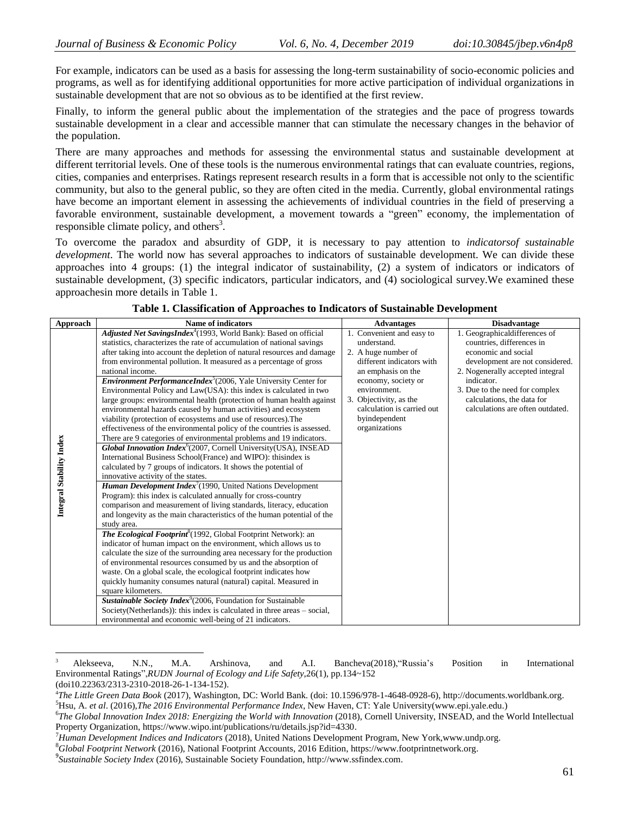For example, indicators can be used as a basis for assessing the long-term sustainability of socio-economic policies and programs, as well as for identifying additional opportunities for more active participation of individual organizations in sustainable development that are not so obvious as to be identified at the first review.

Finally, to inform the general public about the implementation of the strategies and the pace of progress towards sustainable development in a clear and accessible manner that can stimulate the necessary changes in the behavior of the population.

There are many approaches and methods for assessing the environmental status and sustainable development at different territorial levels. One of these tools is the numerous environmental ratings that can evaluate countries, regions, cities, companies and enterprises. Ratings represent research results in a form that is accessible not only to the scientific community, but also to the general public, so they are often cited in the media. Currently, global environmental ratings have become an important element in assessing the achievements of individual countries in the field of preserving a favorable environment, sustainable development, a movement towards a "green" economy, the implementation of responsible climate policy, and others<sup>3</sup>.

To overcome the paradox and absurdity of GDP, it is necessary to pay attention to *indicatorsof sustainable development*. The world now has several approaches to indicators of sustainable development. We can divide these approaches into 4 groups: (1) the integral indicator of sustainability, (2) a system of indicators or indicators of sustainable development, (3) specific indicators, particular indicators, and (4) sociological survey.We examined these approachesin more details in Table 1.

| Approach                 | Name of indicators                                                                                                                                                                                                                                                                                                                                                                                                                                                                                                                                                                                                                                                                                                                                                                                                                                                                                                                                                                                                                                                                                                                                                                                                                                                                                                                                                                                                                                                                                                                                                                                                                                                                                                                                                                                                       | <b>Advantages</b>                                                                                                                                                                                                                                | <b>Disadvantage</b>                                                                                                                                                                                                                                                        |
|--------------------------|--------------------------------------------------------------------------------------------------------------------------------------------------------------------------------------------------------------------------------------------------------------------------------------------------------------------------------------------------------------------------------------------------------------------------------------------------------------------------------------------------------------------------------------------------------------------------------------------------------------------------------------------------------------------------------------------------------------------------------------------------------------------------------------------------------------------------------------------------------------------------------------------------------------------------------------------------------------------------------------------------------------------------------------------------------------------------------------------------------------------------------------------------------------------------------------------------------------------------------------------------------------------------------------------------------------------------------------------------------------------------------------------------------------------------------------------------------------------------------------------------------------------------------------------------------------------------------------------------------------------------------------------------------------------------------------------------------------------------------------------------------------------------------------------------------------------------|--------------------------------------------------------------------------------------------------------------------------------------------------------------------------------------------------------------------------------------------------|----------------------------------------------------------------------------------------------------------------------------------------------------------------------------------------------------------------------------------------------------------------------------|
| Integral Stability Index | <b>Adjusted Net SavingsIndex</b> <sup>4</sup> (1993, World Bank): Based on official<br>statistics, characterizes the rate of accumulation of national savings<br>after taking into account the depletion of natural resources and damage<br>from environmental pollution. It measured as a percentage of gross<br>national income.<br><i>Environment PerformanceIndex</i> <sup>5</sup> (2006, Yale University Center for<br>Environmental Policy and Law(USA): this index is calculated in two<br>large groups: environmental health (protection of human health against<br>environmental hazards caused by human activities) and ecosystem<br>viability (protection of ecosystems and use of resources). The<br>effectiveness of the environmental policy of the countries is assessed.<br>There are 9 categories of environmental problems and 19 indicators.<br>Global Innovation Index <sup>6</sup> (2007, Cornell University(USA), INSEAD<br>International Business School (France) and WIPO): this index is<br>calculated by 7 groups of indicators. It shows the potential of<br>innovative activity of the states.<br><b>Human Development Index</b> <sup>7</sup> (1990, United Nations Development<br>Program): this index is calculated annually for cross-country<br>comparison and measurement of living standards, literacy, education<br>and longevity as the main characteristics of the human potential of the<br>study area.<br><b>The Ecological Footprint</b> <sup>8</sup> (1992, Global Footprint Network): an<br>indicator of human impact on the environment, which allows us to<br>calculate the size of the surrounding area necessary for the production<br>of environmental resources consumed by us and the absorption of<br>waste. On a global scale, the ecological footprint indicates how | Convenient and easy to<br>understand.<br>2. A huge number of<br>different indicators with<br>an emphasis on the<br>economy, society or<br>environment.<br>3. Objectivity, as the<br>calculation is carried out<br>byindependent<br>organizations | 1. Geographicaldifferences of<br>countries, differences in<br>economic and social<br>development are not considered.<br>2. Nogenerally accepted integral<br>indicator.<br>3. Due to the need for complex<br>calculations, the data for<br>calculations are often outdated. |
|                          | quickly humanity consumes natural (natural) capital. Measured in<br>square kilometers.                                                                                                                                                                                                                                                                                                                                                                                                                                                                                                                                                                                                                                                                                                                                                                                                                                                                                                                                                                                                                                                                                                                                                                                                                                                                                                                                                                                                                                                                                                                                                                                                                                                                                                                                   |                                                                                                                                                                                                                                                  |                                                                                                                                                                                                                                                                            |
|                          | <b>Sustainable Society Index</b> <sup>9</sup> (2006, Foundation for Sustainable<br>Society(Netherlands)): this index is calculated in three areas – social,<br>environmental and economic well-being of 21 indicators.                                                                                                                                                                                                                                                                                                                                                                                                                                                                                                                                                                                                                                                                                                                                                                                                                                                                                                                                                                                                                                                                                                                                                                                                                                                                                                                                                                                                                                                                                                                                                                                                   |                                                                                                                                                                                                                                                  |                                                                                                                                                                                                                                                                            |

**Table 1. Classification of Approaches to Indicators of Sustainable Development**

 $\overline{a}$ 

Alekseeva, N.N., M.A. Arshinova, and A.I. Bancheva(2018), "Russia's Position in International Environmental Ratings‖,*RUDN Journal of Ecology and Life Safety*,26(1), pp.134~152

<sup>(</sup>doi10.22363/2313-2310-2018-26-1-134-152).

<sup>4</sup>*The Little Green Data Book* (2017), Washington, DC: World Bank. (doi: 10.1596/978-1-4648-0928-6), http://documents.worldbank.org.

<sup>5</sup>Hsu, A. *et al*. (2016),*The 2016 Environmental Performance Index*, New Haven, CT: Yale University(www.epi.yale.edu.)

<sup>6</sup> *The Global Innovation Index 2018: Energizing the World with Innovation* (2018), Cornell University, INSEAD, and the World Intellectual Property Organization, https://www.wipo.int/publications/ru/details.jsp?id=4330.

<sup>7</sup>*Human Development Indices and Indicators* (2018), United Nations Development Program, New York,www.undp.org.

<sup>8</sup>*Global Footprint Network* (2016), National Footprint Accounts, 2016 Edition, https://www.footprintnetwork.org.

<sup>9</sup> *Sustainable Society Index* (2016), Sustainable Society Foundation, http://www.ssfindex.com.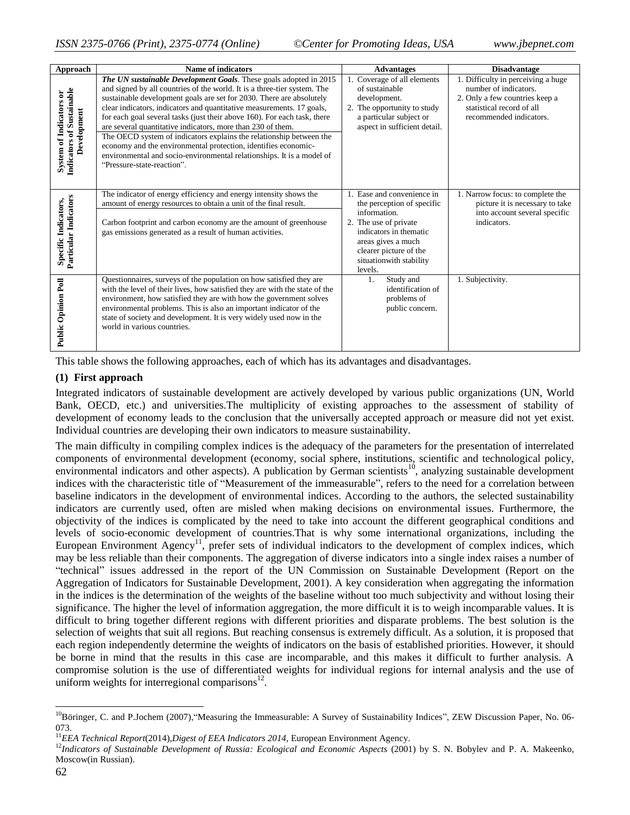| Approach                                                                    | Name of indicators                                                                                                                                                                                                                                                                                                                                                                                                                                                                                                                                                                                                                                                                               | <b>Advantages</b>                                                                                                                                                                                                  | <b>Disadvantage</b>                                                                                                                                   |
|-----------------------------------------------------------------------------|--------------------------------------------------------------------------------------------------------------------------------------------------------------------------------------------------------------------------------------------------------------------------------------------------------------------------------------------------------------------------------------------------------------------------------------------------------------------------------------------------------------------------------------------------------------------------------------------------------------------------------------------------------------------------------------------------|--------------------------------------------------------------------------------------------------------------------------------------------------------------------------------------------------------------------|-------------------------------------------------------------------------------------------------------------------------------------------------------|
| <b>System of Indicators or<br/>Indicators of Sustainable</b><br>Development | <b>The UN sustainable Development Goals.</b> These goals adopted in 2015<br>and signed by all countries of the world. It is a three-tier system. The<br>sustainable development goals are set for 2030. There are absolutely<br>clear indicators, indicators and quantitative measurements. 17 goals,<br>for each goal several tasks (just their above 160). For each task, there<br>are several quantitative indicators, more than 230 of them.<br>The OECD system of indicators explains the relationship between the<br>economy and the environmental protection, identifies economic-<br>environmental and socio-environmental relationships. It is a model of<br>"Pressure-state-reaction". | 1. Coverage of all elements<br>of sustainable<br>development.<br>2. The opportunity to study<br>a particular subject or<br>aspect in sufficient detail.                                                            | 1. Difficulty in perceiving a huge<br>number of indicators.<br>2. Only a few countries keep a<br>statistical record of all<br>recommended indicators. |
| Particular Indicators<br>Specific Indicators,                               | The indicator of energy efficiency and energy intensity shows the<br>amount of energy resources to obtain a unit of the final result.<br>Carbon footprint and carbon economy are the amount of greenhouse<br>gas emissions generated as a result of human activities.                                                                                                                                                                                                                                                                                                                                                                                                                            | 1. Ease and convenience in<br>the perception of specific<br>information.<br>2. The use of private<br>indicators in thematic<br>areas gives a much<br>clearer picture of the<br>situation with stability<br>levels. | 1. Narrow focus: to complete the<br>picture it is necessary to take<br>into account several specific<br>indicators.                                   |
| <b>Public Opinion Poll</b>                                                  | Questionnaires, surveys of the population on how satisfied they are<br>with the level of their lives, how satisfied they are with the state of the<br>environment, how satisfied they are with how the government solves<br>environmental problems. This is also an important indicator of the<br>state of society and development. It is very widely used now in the<br>world in various countries.                                                                                                                                                                                                                                                                                             | Study and<br>1.<br>identification of<br>problems of<br>public concern.                                                                                                                                             | 1. Subjectivity.                                                                                                                                      |

This table shows the following approaches, each of which has its advantages and disadvantages.

## **(1) First approach**

Integrated indicators of sustainable development are actively developed by various public organizations (UN, World Bank, OECD, etc.) and universities.The multiplicity of existing approaches to the assessment of stability of development of economy leads to the conclusion that the universally accepted approach or measure did not yet exist. Individual countries are developing their own indicators to measure sustainability.

The main difficulty in compiling complex indices is the adequacy of the parameters for the presentation of interrelated components of environmental development (economy, social sphere, institutions, scientific and technological policy, environmental indicators and other aspects). A publication by German scientists<sup>10</sup>, analyzing sustainable development indices with the characteristic title of "Measurement of the immeasurable", refers to the need for a correlation between baseline indicators in the development of environmental indices. According to the authors, the selected sustainability indicators are currently used, often are misled when making decisions on environmental issues. Furthermore, the objectivity of the indices is complicated by the need to take into account the different geographical conditions and levels of socio-economic development of countries.That is why some international organizations, including the European Environment Agency<sup>11</sup>, prefer sets of individual indicators to the development of complex indices, which may be less reliable than their components. The aggregation of diverse indicators into a single index raises a number of ―technical‖ issues addressed in the report of the UN Commission on Sustainable Development (Report on the Aggregation of Indicators for Sustainable Development, 2001). A key consideration when aggregating the information in the indices is the determination of the weights of the baseline without too much subjectivity and without losing their significance. The higher the level of information aggregation, the more difficult it is to weigh incomparable values. It is difficult to bring together different regions with different priorities and disparate problems. The best solution is the selection of weights that suit all regions. But reaching consensus is extremely difficult. As a solution, it is proposed that each region independently determine the weights of indicators on the basis of established priorities. However, it should be borne in mind that the results in this case are incomparable, and this makes it difficult to further analysis. A compromise solution is the use of differentiated weights for individual regions for internal analysis and the use of uniform weights for interregional comparisons $^{12}$ .

 $\overline{a}$ 

<sup>&</sup>lt;sup>10</sup>Böringer, C. and P.Jochem (2007), "Measuring the Immeasurable: A Survey of Sustainability Indices", ZEW Discussion Paper, No. 06-073.

<sup>11</sup>*EEA Technical Report*(2014),*Digest of EEA Indicators 2014*, European Environment Agency.

<sup>&</sup>lt;sup>12</sup>Indicators of Sustainable Development of Russia: Ecological and Economic Aspects (2001) by S. N. Bobylev and P. A. Makeenko, Moscow(in Russian).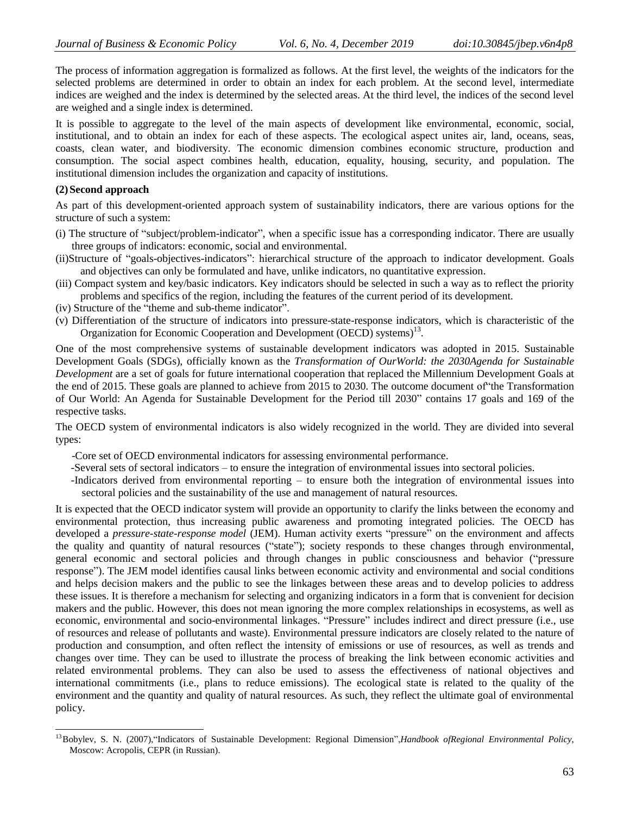The process of information aggregation is formalized as follows. At the first level, the weights of the indicators for the selected problems are determined in order to obtain an index for each problem. At the second level, intermediate indices are weighed and the index is determined by the selected areas. At the third level, the indices of the second level are weighed and a single index is determined.

It is possible to aggregate to the level of the main aspects of development like environmental, economic, social, institutional, and to obtain an index for each of these aspects. The ecological aspect unites air, land, oceans, seas, coasts, clean water, and biodiversity. The economic dimension combines economic structure, production and consumption. The social aspect combines health, education, equality, housing, security, and population. The institutional dimension includes the organization and capacity of institutions.

#### **(2)Second approach**

As part of this development-oriented approach system of sustainability indicators, there are various options for the structure of such a system:

- $(i)$  The structure of "subject/problem-indicator", when a specific issue has a corresponding indicator. There are usually three groups of indicators: economic, social and environmental.
- (ii)Structure of "goals-objectives-indicators": hierarchical structure of the approach to indicator development. Goals and objectives can only be formulated and have, unlike indicators, no quantitative expression.
- (iii) Compact system and key/basic indicators. Key indicators should be selected in such a way as to reflect the priority problems and specifics of the region, including the features of the current period of its development.
- (iv) Structure of the "theme and sub-theme indicator".
- (v) Differentiation of the structure of indicators into pressure-state-response indicators, which is characteristic of the Organization for Economic Cooperation and Development (OECD) systems)<sup>13</sup>.

One of the most comprehensive systems of sustainable development indicators was adopted in 2015. Sustainable Development Goals (SDGs), officially known as the *Transformation of OurWorld: the 2030Agenda for Sustainable Development* are a set of goals for future international cooperation that replaced the Millennium Development Goals at the end of 2015. These goals are planned to achieve from 2015 to 2030. The outcome document of the Transformation of Our World: An Agenda for Sustainable Development for the Period till 2030" contains 17 goals and 169 of the respective tasks.

The OECD system of environmental indicators is also widely recognized in the world. They are divided into several types:

- -Core set of OECD environmental indicators for assessing environmental performance.
- -Several sets of sectoral indicators to ensure the integration of environmental issues into sectoral policies.
- -Indicators derived from environmental reporting to ensure both the integration of environmental issues into sectoral policies and the sustainability of the use and management of natural resources.

It is expected that the OECD indicator system will provide an opportunity to clarify the links between the economy and environmental protection, thus increasing public awareness and promoting integrated policies. The OECD has developed a *pressure-state-response model* (JEM). Human activity exerts "pressure" on the environment and affects the quality and quantity of natural resources ("state"); society responds to these changes through environmental, general economic and sectoral policies and through changes in public consciousness and behavior ("pressure response"). The JEM model identifies causal links between economic activity and environmental and social conditions and helps decision makers and the public to see the linkages between these areas and to develop policies to address these issues. It is therefore a mechanism for selecting and organizing indicators in a form that is convenient for decision makers and the public. However, this does not mean ignoring the more complex relationships in ecosystems, as well as economic, environmental and socio-environmental linkages. "Pressure" includes indirect and direct pressure (i.e., use of resources and release of pollutants and waste). Environmental pressure indicators are closely related to the nature of production and consumption, and often reflect the intensity of emissions or use of resources, as well as trends and changes over time. They can be used to illustrate the process of breaking the link between economic activities and related environmental problems. They can also be used to assess the effectiveness of national objectives and international commitments (i.e., plans to reduce emissions). The ecological state is related to the quality of the environment and the quantity and quality of natural resources. As such, they reflect the ultimate goal of environmental policy.

 $\overline{a}$ <sup>13</sup>Bobylev, S. N. (2007), "Indicators of Sustainable Development: Regional Dimension", *Handbook of Regional Environmental Policy*, Moscow: Acropolis, CEPR (in Russian).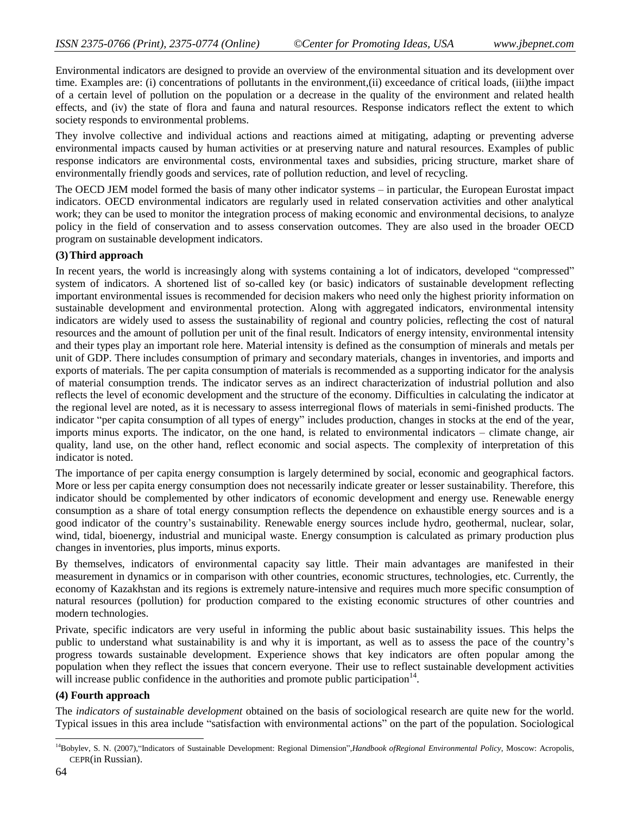Environmental indicators are designed to provide an overview of the environmental situation and its development over time. Examples are: (i) concentrations of pollutants in the environment,(ii) exceedance of critical loads, (iii)the impact of a certain level of pollution on the population or a decrease in the quality of the environment and related health effects, and (iv) the state of flora and fauna and natural resources. Response indicators reflect the extent to which society responds to environmental problems.

They involve collective and individual actions and reactions aimed at mitigating, adapting or preventing adverse environmental impacts caused by human activities or at preserving nature and natural resources. Examples of public response indicators are environmental costs, environmental taxes and subsidies, pricing structure, market share of environmentally friendly goods and services, rate of pollution reduction, and level of recycling.

The OECD JEM model formed the basis of many other indicator systems – in particular, the European Eurostat impact indicators. OECD environmental indicators are regularly used in related conservation activities and other analytical work; they can be used to monitor the integration process of making economic and environmental decisions, to analyze policy in the field of conservation and to assess conservation outcomes. They are also used in the broader OECD program on sustainable development indicators.

#### **(3)Third approach**

In recent years, the world is increasingly along with systems containing a lot of indicators, developed "compressed" system of indicators. A shortened list of so-called key (or basic) indicators of sustainable development reflecting important environmental issues is recommended for decision makers who need only the highest priority information on sustainable development and environmental protection. Along with aggregated indicators, environmental intensity indicators are widely used to assess the sustainability of regional and country policies, reflecting the cost of natural resources and the amount of pollution per unit of the final result. Indicators of energy intensity, environmental intensity and their types play an important role here. Material intensity is defined as the consumption of minerals and metals per unit of GDP. There includes consumption of primary and secondary materials, changes in inventories, and imports and exports of materials. The per capita consumption of materials is recommended as a supporting indicator for the analysis of material consumption trends. The indicator serves as an indirect characterization of industrial pollution and also reflects the level of economic development and the structure of the economy. Difficulties in calculating the indicator at the regional level are noted, as it is necessary to assess interregional flows of materials in semi-finished products. The indicator "per capita consumption of all types of energy" includes production, changes in stocks at the end of the year, imports minus exports. The indicator, on the one hand, is related to environmental indicators – climate change, air quality, land use, on the other hand, reflect economic and social aspects. The complexity of interpretation of this indicator is noted.

The importance of per capita energy consumption is largely determined by social, economic and geographical factors. More or less per capita energy consumption does not necessarily indicate greater or lesser sustainability. Therefore, this indicator should be complemented by other indicators of economic development and energy use. Renewable energy consumption as a share of total energy consumption reflects the dependence on exhaustible energy sources and is a good indicator of the country's sustainability. Renewable energy sources include hydro, geothermal, nuclear, solar, wind, tidal, bioenergy, industrial and municipal waste. Energy consumption is calculated as primary production plus changes in inventories, plus imports, minus exports.

By themselves, indicators of environmental capacity say little. Their main advantages are manifested in their measurement in dynamics or in comparison with other countries, economic structures, technologies, etc. Currently, the economy of Kazakhstan and its regions is extremely nature-intensive and requires much more specific consumption of natural resources (pollution) for production compared to the existing economic structures of other countries and modern technologies.

Private, specific indicators are very useful in informing the public about basic sustainability issues. This helps the public to understand what sustainability is and why it is important, as well as to assess the pace of the country's progress towards sustainable development. Experience shows that key indicators are often popular among the population when they reflect the issues that concern everyone. Their use to reflect sustainable development activities will increase public confidence in the authorities and promote public participation $14$ .

## **(4) Fourth approach**

The *indicators of sustainable development* obtained on the basis of sociological research are quite new for the world. Typical issues in this area include "satisfaction with environmental actions" on the part of the population. Sociological

 $\overline{a}$ <sup>14</sup>Bobylev, S. N. (2007), "Indicators of Sustainable Development: Regional Dimension", Handbook ofRegional Environmental Policy, Moscow: Acropolis, CEPR(in Russian).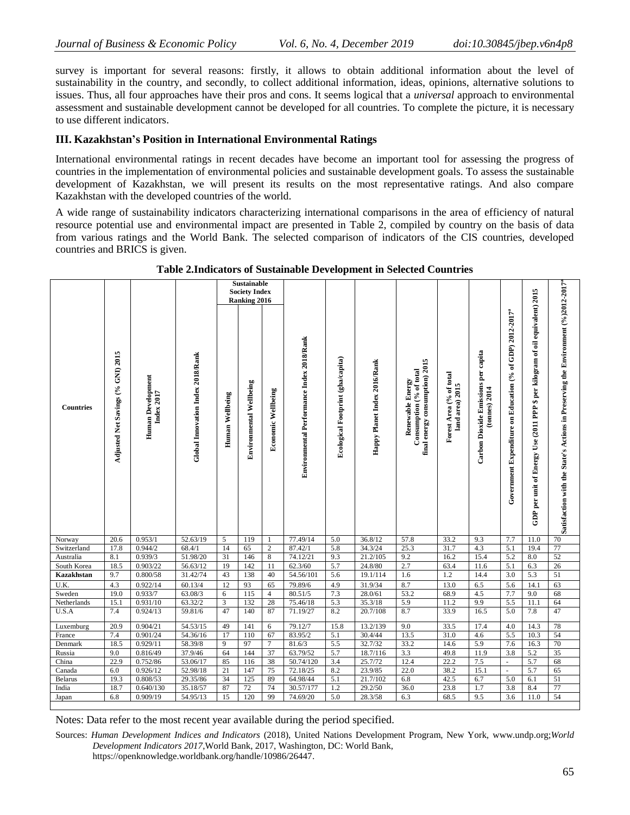survey is important for several reasons: firstly, it allows to obtain additional information about the level of sustainability in the country, and secondly, to collect additional information, ideas, opinions, alternative solutions to issues. Thus, all four approaches have their pros and cons. It seems logical that a *universal* approach to environmental assessment and sustainable development cannot be developed for all countries. To complete the picture, it is necessary to use different indicators.

### **III. Kazakhstan's Position in International Environmental Ratings**

International environmental ratings in recent decades have become an important tool for assessing the progress of countries in the implementation of environmental policies and sustainable development goals. To assess the sustainable development of Kazakhstan, we will present its results on the most representative ratings. And also compare Kazakhstan with the developed countries of the world.

A wide range of sustainability indicators characterizing international comparisons in the area of efficiency of natural resource potential use and environmental impact are presented in Table 2, compiled by country on the basis of data from various ratings and the World Bank. The selected comparison of indicators of the CIS countries, developed countries and BRICS is given.

|                          |                                   |                                          |                                   |                    | Sustainable<br><b>Society Index</b><br>Ranking 2016 |                           |                                           |                                   |                              |                                                                               |                                               |                                                                             |                                                                       |                                                                                 |                                                                                               |
|--------------------------|-----------------------------------|------------------------------------------|-----------------------------------|--------------------|-----------------------------------------------------|---------------------------|-------------------------------------------|-----------------------------------|------------------------------|-------------------------------------------------------------------------------|-----------------------------------------------|-----------------------------------------------------------------------------|-----------------------------------------------------------------------|---------------------------------------------------------------------------------|-----------------------------------------------------------------------------------------------|
| Countries                | Adjusted Net Savings (% GNI) 2015 | <b>Human Development</b><br>Index $2017$ | Global Innovation Index 2018/Rank | Wellbeing<br>Human | Environmental Wellbeing                             | <b>Economic Wellbeing</b> | Environmental Performance Index 2018/Rank | Ecological Footprint (gha/capita) | Happy Planet Index 2016/Rank | final energy consumption) 2015<br>Consumption (% of total<br>Renewable Energy | Forest Area (% of total<br>land area $)$ 2015 | per capita<br><b>Carbon Dioxide Emissions</b><br>$\frac{1}{2}$ (tomes) 2014 | Government Expenditure on Education (% of GDP) 2012-2017 <sup>®</sup> | Use (2011 PPP \$ per kilogram of oil equivalent) 2015<br>GDP per unit of Energy | Satisfaction with the State's Actions in Preserving the Environment (%)2012-2017 <sup>a</sup> |
| Norway                   | 20.6                              | 0.953/1                                  | 52.63/19                          | 5                  | 119                                                 | 1                         | 77.49/14                                  | 5.0                               | 36.8/12                      | 57.8                                                                          | 33.2<br>31.7                                  | 9.3                                                                         | 7.7                                                                   | 11.0                                                                            | 70                                                                                            |
| Switzerland              | 17.8                              | 0.944/2<br>0.939/3                       | 68.4/1<br>51.98/20                | 14<br>31           | 65<br>146                                           | $\mathbf{2}$              | 87.42/1<br>74.12/21                       | 5.8                               | 34.3/24<br>21.2/105          | 25.3<br>9.2                                                                   |                                               | 4.3<br>15.4                                                                 | 5.1<br>5.2                                                            | 19.4<br>8.0                                                                     | 77<br>52                                                                                      |
| Australia<br>South Korea | 8.1<br>18.5                       | 0.903/22                                 | 56.63/12                          | 19                 | 142                                                 | 8<br>11                   | 62.3/60                                   | 9.3<br>5.7                        | 24.8/80                      | 2.7                                                                           | 16.2<br>63.4                                  | 11.6                                                                        | 5.1                                                                   | 6.3                                                                             | 26                                                                                            |
| Kazakhstan               | 9.7                               | 0.800/58                                 | 31.42/74                          | 43                 | 138                                                 | 40                        | 54.56/101                                 | 5.6                               | 19.1/114                     | 1.6                                                                           | 1.2                                           | 14.4                                                                        | 3.0                                                                   | 5.3                                                                             | 51                                                                                            |
| U.K.                     | 4.3                               | 0.922/14                                 | 60.13/4                           | 12                 | 93                                                  | 65                        | 79.89/6                                   | 4.9                               | 31.9/34                      | 8.7                                                                           | 13.0                                          | 6.5                                                                         | 5.6                                                                   | 14.1                                                                            | 63                                                                                            |
| Sweden                   | 19.0                              | 0.933/7                                  | 63.08/3                           | 6                  | 115                                                 | $\overline{4}$            | 80.51/5                                   | 7.3                               | 28.0/61                      | 53.2                                                                          | 68.9                                          | 4.5                                                                         | 7.7                                                                   | 9.0                                                                             | 68                                                                                            |
| Netherlands              | 15.1                              | 0.931/10                                 | 63.32/2                           | 3                  | 132                                                 | 28                        | 75.46/18                                  | 5.3                               | 35.3/18                      | 5.9                                                                           | 11.2                                          | 9.9                                                                         | 5.5                                                                   | 11.1                                                                            | 64                                                                                            |
| U.S.A                    | 7.4                               | 0.924/13                                 | 59.81/6                           | 47                 | 140                                                 | 87                        | 71.19/27                                  | 8.2                               | 20.7/108                     | 8.7                                                                           | 33.9                                          | 16.5                                                                        | 5.0                                                                   | 7.8                                                                             | 47                                                                                            |
| Luxemburg                | 20.9                              | 0.904/21                                 | 54.53/15                          | 49                 | 141                                                 | 6                         | 79.12/7                                   | 15.8                              | 13.2/139                     | 9.0                                                                           | 33.5                                          | 17.4                                                                        | 4.0                                                                   | 14.3                                                                            | 78                                                                                            |
| France                   | 7.4                               | 0.901/24                                 | 54.36/16                          | 17                 | 110                                                 | 67                        | 83.95/2                                   | 5.1                               | 30.4/44                      | 13.5                                                                          | 31.0                                          | 4.6                                                                         | 5.5                                                                   | 10.3                                                                            | 54                                                                                            |
| Denmark                  | 18.5                              | 0.929/11                                 | 58.39/8                           | 9                  | 97                                                  | 7                         | 81.6/3                                    | 5.5                               | 32.7/32                      | 33.2                                                                          | 14.6                                          | 5.9                                                                         | 7.6                                                                   | 16.3                                                                            | 70                                                                                            |
| Russia                   | 9.0                               | 0.816/49                                 | 37.9/46                           | 64                 | 144                                                 | 37                        | 63.79/52                                  | 5.7                               | 18.7/116                     | 3.3                                                                           | 49.8                                          | 11.9                                                                        | 3.8                                                                   | 5.2                                                                             | 35                                                                                            |
| China                    | 22.9                              | 0.752/86                                 | 53.06/17                          | 85                 | 116                                                 | 38                        | 50.74/120                                 | 3.4                               | 25.7/72                      | 12.4                                                                          | 22.2                                          | 7.5                                                                         | $\bar{\phantom{a}}$                                                   | 5.7                                                                             | 68                                                                                            |
| Canada                   | 6.0                               | 0.926/12                                 | 52.98/18                          | 21                 | 147                                                 | 75                        | 72.18/25                                  | 8.2                               | 23.9/85                      | 22.0                                                                          | 38.2                                          | 15.1                                                                        |                                                                       | 5.7                                                                             | 65                                                                                            |
| <b>Belarus</b>           | 19.3                              | 0.808/53                                 | 29.35/86                          | 34                 | 125                                                 | 89                        | 64.98/44                                  | 5.1                               | 21.7/102                     | 6.8                                                                           | 42.5                                          | 6.7                                                                         | 5.0                                                                   | 6.1                                                                             | 51                                                                                            |
|                          |                                   |                                          |                                   |                    |                                                     |                           |                                           |                                   |                              |                                                                               |                                               |                                                                             |                                                                       |                                                                                 |                                                                                               |
| India<br>Japan           | 18.7<br>6.8                       | 0.640/130<br>0.909/19                    | 35.18/57<br>54.95/13              | 87<br>15           | 72<br>120                                           | 74<br>99                  | 30.57/177<br>74.69/20                     | 1.2<br>5.0                        | 29.2/50<br>28.3/58           | 36.0<br>6.3                                                                   | 23.8<br>68.5                                  | 1.7<br>9.5                                                                  | 3.8<br>3.6                                                            | 8.4<br>11.0                                                                     | 77<br>54                                                                                      |

**Table 2.Indicators of Sustainable Development in Selected Countries**

Notes: Data refer to the most recent year available during the period specified.

Sources: *Human Development Indices and Indicators* (2018), United Nations Development Program, New York, [www.undp.org;](http://www.undp.org/)*World Development Indicators 2017*,World Bank, 2017, Washington, DC: World Bank, [https://openknowledge.worldbank.org/handle/10986/26447.](https://openknowledge.worldbank.org/handle/10986/26447)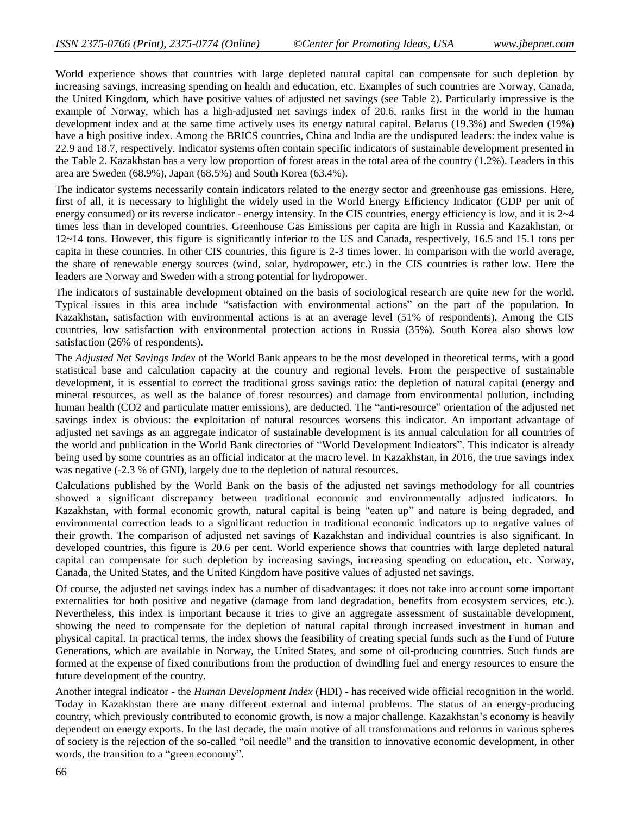World experience shows that countries with large depleted natural capital can compensate for such depletion by increasing savings, increasing spending on health and education, etc. Examples of such countries are Norway, Canada, the United Kingdom, which have positive values of adjusted net savings (see Table 2). Particularly impressive is the example of Norway, which has a high-adjusted net savings index of 20.6, ranks first in the world in the human development index and at the same time actively uses its energy natural capital. Belarus (19.3%) and Sweden (19%) have a high positive index. Among the BRICS countries, China and India are the undisputed leaders: the index value is 22.9 and 18.7, respectively. Indicator systems often contain specific indicators of sustainable development presented in the Table 2. Kazakhstan has a very low proportion of forest areas in the total area of the country (1.2%). Leaders in this area are Sweden (68.9%), Japan (68.5%) and South Korea (63.4%).

The indicator systems necessarily contain indicators related to the energy sector and greenhouse gas emissions. Here, first of all, it is necessary to highlight the widely used in the World Energy Efficiency Indicator (GDP per unit of energy consumed) or its reverse indicator - energy intensity. In the CIS countries, energy efficiency is low, and it is 2~4 times less than in developed countries. Greenhouse Gas Emissions per capita are high in Russia and Kazakhstan, or 12~14 tons. However, this figure is significantly inferior to the US and Canada, respectively, 16.5 and 15.1 tons per capita in these countries. In other CIS countries, this figure is 2-3 times lower. In comparison with the world average, the share of renewable energy sources (wind, solar, hydropower, etc.) in the CIS countries is rather low. Here the leaders are Norway and Sweden with a strong potential for hydropower.

The indicators of sustainable development obtained on the basis of sociological research are quite new for the world. Typical issues in this area include "satisfaction with environmental actions" on the part of the population. In Kazakhstan, satisfaction with environmental actions is at an average level (51% of respondents). Among the CIS countries, low satisfaction with environmental protection actions in Russia (35%). South Korea also shows low satisfaction (26% of respondents).

The *Adjusted Net Savings Index* of the World Bank appears to be the most developed in theoretical terms, with a good statistical base and calculation capacity at the country and regional levels. From the perspective of sustainable development, it is essential to correct the traditional gross savings ratio: the depletion of natural capital (energy and mineral resources, as well as the balance of forest resources) and damage from environmental pollution, including human health (CO2 and particulate matter emissions), are deducted. The "anti-resource" orientation of the adjusted net savings index is obvious: the exploitation of natural resources worsens this indicator. An important advantage of adjusted net savings as an aggregate indicator of sustainable development is its annual calculation for all countries of the world and publication in the World Bank directories of "World Development Indicators". This indicator is already being used by some countries as an official indicator at the macro level. In Kazakhstan, in 2016, the true savings index was negative (-2.3 % of GNI), largely due to the depletion of natural resources.

Calculations published by the World Bank on the basis of the adjusted net savings methodology for all countries showed a significant discrepancy between traditional economic and environmentally adjusted indicators. In Kazakhstan, with formal economic growth, natural capital is being "eaten up" and nature is being degraded, and environmental correction leads to a significant reduction in traditional economic indicators up to negative values of their growth. The comparison of adjusted net savings of Kazakhstan and individual countries is also significant. In developed countries, this figure is 20.6 per cent. World experience shows that countries with large depleted natural capital can compensate for such depletion by increasing savings, increasing spending on education, etc. Norway, Canada, the United States, and the United Kingdom have positive values of adjusted net savings.

Of course, the adjusted net savings index has a number of disadvantages: it does not take into account some important externalities for both positive and negative (damage from land degradation, benefits from ecosystem services, etc.). Nevertheless, this index is important because it tries to give an aggregate assessment of sustainable development, showing the need to compensate for the depletion of natural capital through increased investment in human and physical capital. In practical terms, the index shows the feasibility of creating special funds such as the Fund of Future Generations, which are available in Norway, the United States, and some of oil-producing countries. Such funds are formed at the expense of fixed contributions from the production of dwindling fuel and energy resources to ensure the future development of the country.

Another integral indicator - the *Human Development Index* (HDI) - has received wide official recognition in the world. Today in Kazakhstan there are many different external and internal problems. The status of an energy-producing country, which previously contributed to economic growth, is now a major challenge. Kazakhstan's economy is heavily dependent on energy exports. In the last decade, the main motive of all transformations and reforms in various spheres of society is the rejection of the so-called "oil needle" and the transition to innovative economic development, in other words, the transition to a "green economy".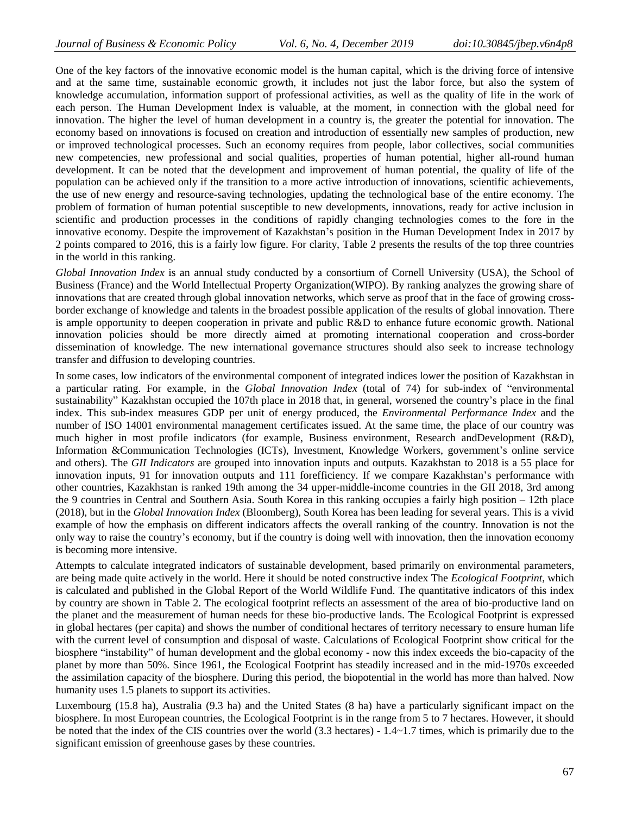One of the key factors of the innovative economic model is the human capital, which is the driving force of intensive and at the same time, sustainable economic growth, it includes not just the labor force, but also the system of knowledge accumulation, information support of professional activities, as well as the quality of life in the work of each person. The Human Development Index is valuable, at the moment, in connection with the global need for innovation. The higher the level of human development in a country is, the greater the potential for innovation. The economy based on innovations is focused on creation and introduction of essentially new samples of production, new or improved technological processes. Such an economy requires from people, labor collectives, social communities new competencies, new professional and social qualities, properties of human potential, higher all-round human development. It can be noted that the development and improvement of human potential, the quality of life of the population can be achieved only if the transition to a more active introduction of innovations, scientific achievements, the use of new energy and resource-saving technologies, updating the technological base of the entire economy. The problem of formation of human potential susceptible to new developments, innovations, ready for active inclusion in scientific and production processes in the conditions of rapidly changing technologies comes to the fore in the innovative economy. Despite the improvement of Kazakhstan's position in the Human Development Index in 2017 by 2 points compared to 2016, this is a fairly low figure. For clarity, Table 2 presents the results of the top three countries in the world in this ranking.

*Global Innovation Index* is an annual study conducted by a consortium of Cornell University (USA), the School of Business (France) and the World Intellectual Property Organization(WIPO). By ranking analyzes the growing share of innovations that are created through global innovation networks, which serve as proof that in the face of growing crossborder exchange of knowledge and talents in the broadest possible application of the results of global innovation. There is ample opportunity to deepen cooperation in private and public R&D to enhance future economic growth. National innovation policies should be more directly aimed at promoting international cooperation and cross-border dissemination of knowledge. The new international governance structures should also seek to increase technology transfer and diffusion to developing countries.

In some cases, low indicators of the environmental component of integrated indices lower the position of Kazakhstan in a particular rating. For example, in the *Global Innovation Index* (total of 74) for sub-index of "environmental sustainability" Kazakhstan occupied the 107th place in 2018 that, in general, worsened the country's place in the final index. This sub-index measures GDP per unit of energy produced, the *Environmental Performance Index* and the number of ISO 14001 environmental management certificates issued. At the same time, the place of our country was much higher in most profile indicators (for example, Business environment, Research andDevelopment (R&D), Information &Communication Technologies (ICTs), Investment, Knowledge Workers, government's online service and others). The *GII Indicators* are grouped into innovation inputs and outputs. Kazakhstan to 2018 is a 55 place for innovation inputs, 91 for innovation outputs and 111 forefficiency. If we compare Kazakhstan's performance with other countries, Kazakhstan is ranked 19th among the 34 upper-middle-income countries in the GII 2018, 3rd among the 9 countries in Central and Southern Asia. South Korea in this ranking occupies a fairly high position – 12th place (2018), but in the *Global Innovation Index* (Bloomberg), South Korea has been leading for several years. This is a vivid example of how the emphasis on different indicators affects the overall ranking of the country. Innovation is not the only way to raise the country's economy, but if the country is doing well with innovation, then the innovation economy is becoming more intensive.

Attempts to calculate integrated indicators of sustainable development, based primarily on environmental parameters, are being made quite actively in the world. Here it should be noted constructive index The *Ecological Footprint*, which is calculated and published in the Global Report of the World Wildlife Fund. The quantitative indicators of this index by country are shown in Table 2. The ecological footprint reflects an assessment of the area of bio-productive land on the planet and the measurement of human needs for these bio-productive lands. The Ecological Footprint is expressed in global hectares (per capita) and shows the number of conditional hectares of territory necessary to ensure human life with the current level of consumption and disposal of waste. Calculations of Ecological Footprint show critical for the biosphere "instability" of human development and the global economy - now this index exceeds the bio-capacity of the planet by more than 50%. Since 1961, the Ecological Footprint has steadily increased and in the mid-1970s exceeded the assimilation capacity of the biosphere. During this period, the biopotential in the world has more than halved. Now humanity uses 1.5 planets to support its activities.

Luxembourg (15.8 ha), Australia (9.3 ha) and the United States (8 ha) have a particularly significant impact on the biosphere. In most European countries, the Ecological Footprint is in the range from 5 to 7 hectares. However, it should be noted that the index of the CIS countries over the world (3.3 hectares) - 1.4~1.7 times, which is primarily due to the significant emission of greenhouse gases by these countries.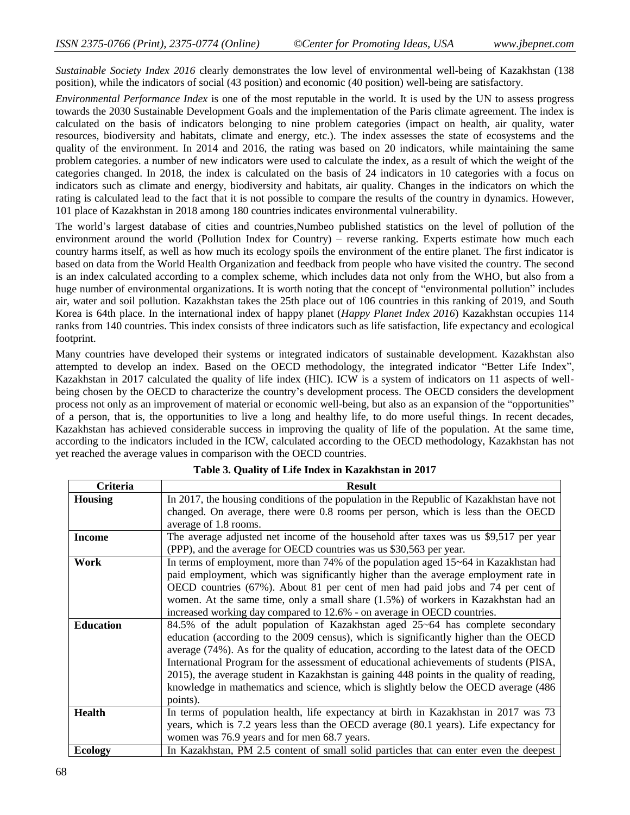*Sustainable Society Index 2016* clearly demonstrates the low level of environmental well-being of Kazakhstan (138 position), while the indicators of social (43 position) and economic (40 position) well-being are satisfactory.

*Environmental Performance Index* is one of the most reputable in the world. It is used by the UN to assess progress towards the 2030 Sustainable Development Goals and the implementation of the Paris climate agreement. The index is calculated on the basis of indicators belonging to nine problem categories (impact on health, air quality, water resources, biodiversity and habitats, climate and energy, etc.). The index assesses the state of ecosystems and the quality of the environment. In 2014 and 2016, the rating was based on 20 indicators, while maintaining the same problem categories. a number of new indicators were used to calculate the index, as a result of which the weight of the categories changed. In 2018, the index is calculated on the basis of 24 indicators in 10 categories with a focus on indicators such as climate and energy, biodiversity and habitats, air quality. Changes in the indicators on which the rating is calculated lead to the fact that it is not possible to compare the results of the country in dynamics. However, 101 place of Kazakhstan in 2018 among 180 countries indicates environmental vulnerability.

The world's largest database of cities and countries,Numbeo published statistics on the level of pollution of the environment around the world (Pollution Index for Country) – reverse ranking. Experts estimate how much each country harms itself, as well as how much its ecology spoils the environment of the entire planet. The first indicator is based on data from the World Health Organization and feedback from people who have visited the country. The second is an index calculated according to a complex scheme, which includes data not only from the WHO, but also from a huge number of environmental organizations. It is worth noting that the concept of "environmental pollution" includes air, water and soil pollution. Kazakhstan takes the 25th place out of 106 countries in this ranking of 2019, and South Korea is 64th place. In the international index of happy planet (*Happy Planet Index 2016*) Kazakhstan occupies 114 ranks from 140 countries. This index consists of three indicators such as life satisfaction, life expectancy and ecological footprint.

Many countries have developed their systems or integrated indicators of sustainable development. Kazakhstan also attempted to develop an index. Based on the OECD methodology, the integrated indicator "Better Life Index", Kazakhstan in 2017 calculated the quality of life index (HIC). ICW is a system of indicators on 11 aspects of wellbeing chosen by the OECD to characterize the country's development process. The OECD considers the development process not only as an improvement of material or economic well-being, but also as an expansion of the "opportunities" of a person, that is, the opportunities to live a long and healthy life, to do more useful things. In recent decades, Kazakhstan has achieved considerable success in improving the quality of life of the population. At the same time, according to the indicators included in the ICW, calculated according to the OECD methodology, Kazakhstan has not yet reached the average values in comparison with the OECD countries.

| Criteria         | <b>Result</b>                                                                             |
|------------------|-------------------------------------------------------------------------------------------|
| <b>Housing</b>   | In 2017, the housing conditions of the population in the Republic of Kazakhstan have not  |
|                  | changed. On average, there were 0.8 rooms per person, which is less than the OECD         |
|                  | average of 1.8 rooms.                                                                     |
| <b>Income</b>    | The average adjusted net income of the household after taxes was us \$9,517 per year      |
|                  | (PPP), and the average for OECD countries was us \$30,563 per year.                       |
| Work             | In terms of employment, more than $74\%$ of the population aged $15-64$ in Kazakhstan had |
|                  | paid employment, which was significantly higher than the average employment rate in       |
|                  | OECD countries (67%). About 81 per cent of men had paid jobs and 74 per cent of           |
|                  | women. At the same time, only a small share $(1.5%)$ of workers in Kazakhstan had an      |
|                  | increased working day compared to 12.6% - on average in OECD countries.                   |
| <b>Education</b> | 84.5% of the adult population of Kazakhstan aged $25 \sim 64$ has complete secondary      |
|                  | education (according to the 2009 census), which is significantly higher than the OECD     |
|                  | average (74%). As for the quality of education, according to the latest data of the OECD  |
|                  | International Program for the assessment of educational achievements of students (PISA,   |
|                  | 2015), the average student in Kazakhstan is gaining 448 points in the quality of reading, |
|                  | knowledge in mathematics and science, which is slightly below the OECD average (486       |
|                  | points).                                                                                  |
| <b>Health</b>    | In terms of population health, life expectancy at birth in Kazakhstan in 2017 was 73      |
|                  | years, which is 7.2 years less than the OECD average (80.1 years). Life expectancy for    |
|                  | women was 76.9 years and for men 68.7 years.                                              |
| <b>Ecology</b>   | In Kazakhstan, PM 2.5 content of small solid particles that can enter even the deepest    |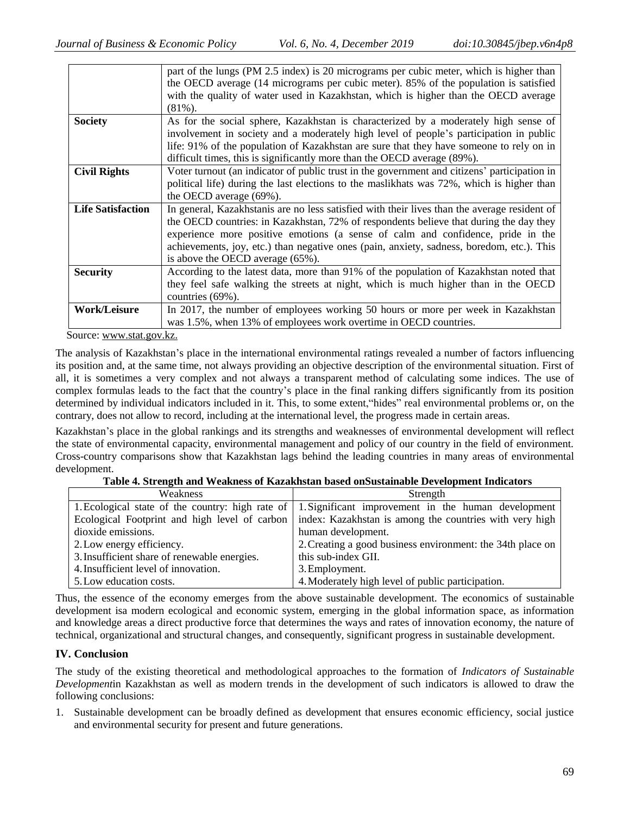|                          | part of the lungs (PM 2.5 index) is 20 micrograms per cubic meter, which is higher than<br>the OECD average (14 micrograms per cubic meter). 85% of the population is satisfied<br>with the quality of water used in Kazakhstan, which is higher than the OECD average<br>$(81\%)$ . |
|--------------------------|--------------------------------------------------------------------------------------------------------------------------------------------------------------------------------------------------------------------------------------------------------------------------------------|
|                          |                                                                                                                                                                                                                                                                                      |
| <b>Society</b>           | As for the social sphere, Kazakhstan is characterized by a moderately high sense of                                                                                                                                                                                                  |
|                          | involvement in society and a moderately high level of people's participation in public                                                                                                                                                                                               |
|                          | life: 91% of the population of Kazakhstan are sure that they have someone to rely on in                                                                                                                                                                                              |
|                          | difficult times, this is significantly more than the OECD average (89%).                                                                                                                                                                                                             |
| <b>Civil Rights</b>      | Voter turnout (an indicator of public trust in the government and citizens' participation in                                                                                                                                                                                         |
|                          | political life) during the last elections to the maslikhats was 72%, which is higher than                                                                                                                                                                                            |
|                          |                                                                                                                                                                                                                                                                                      |
|                          | the OECD average (69%).                                                                                                                                                                                                                                                              |
| <b>Life Satisfaction</b> | In general, Kazakhstanis are no less satisfied with their lives than the average resident of                                                                                                                                                                                         |
|                          | the OECD countries: in Kazakhstan, 72% of respondents believe that during the day they                                                                                                                                                                                               |
|                          | experience more positive emotions (a sense of calm and confidence, pride in the                                                                                                                                                                                                      |
|                          | achievements, joy, etc.) than negative ones (pain, anxiety, sadness, boredom, etc.). This                                                                                                                                                                                            |
|                          | is above the OECD average (65%).                                                                                                                                                                                                                                                     |
| <b>Security</b>          | According to the latest data, more than 91% of the population of Kazakhstan noted that                                                                                                                                                                                               |
|                          | they feel safe walking the streets at night, which is much higher than in the OECD                                                                                                                                                                                                   |
|                          | countries $(69\%)$ .                                                                                                                                                                                                                                                                 |
| <b>Work/Leisure</b>      | In 2017, the number of employees working 50 hours or more per week in Kazakhstan                                                                                                                                                                                                     |
|                          | was 1.5%, when 13% of employees work overtime in OECD countries.                                                                                                                                                                                                                     |

Source: [www.stat.gov.kz.](http://www.stat.gov.kz/)

The analysis of Kazakhstan's place in the international environmental ratings revealed a number of factors influencing its position and, at the same time, not always providing an objective description of the environmental situation. First of all, it is sometimes a very complex and not always a transparent method of calculating some indices. The use of complex formulas leads to the fact that the country's place in the final ranking differs significantly from its position determined by individual indicators included in it. This, to some extent, "hides" real environmental problems or, on the contrary, does not allow to record, including at the international level, the progress made in certain areas.

Kazakhstan's place in the global rankings and its strengths and weaknesses of environmental development will reflect the state of environmental capacity, environmental management and policy of our country in the field of environment. Cross-country comparisons show that Kazakhstan lags behind the leading countries in many areas of environmental development.

| <b>Weakness</b>                                  | Strength                                                   |
|--------------------------------------------------|------------------------------------------------------------|
| 1. Ecological state of the country: high rate of | 1. Significant improvement in the human development        |
| Ecological Footprint and high level of carbon    | index: Kazakhstan is among the countries with very high    |
| dioxide emissions.                               | human development.                                         |
| 2. Low energy efficiency.                        | 2. Creating a good business environment: the 34th place on |
| 3. Insufficient share of renewable energies.     | this sub-index GII.                                        |
| 4. Insufficient level of innovation.             | 3. Employment.                                             |
| 5. Low education costs.                          | 4. Moderately high level of public participation.          |

**Table 4. Strength and Weakness of Kazakhstan based onSustainable Development Indicators**

Thus, the essence of the economy emerges from the above sustainable development. The economics of sustainable development isa modern ecological and economic system, emerging in the global information space, as information and knowledge areas a direct productive force that determines the ways and rates of innovation economy, the nature of technical, organizational and structural changes, and consequently, significant progress in sustainable development.

## **IV. Conclusion**

The study of the existing theoretical and methodological approaches to the formation of *Indicators of Sustainable Development*in Kazakhstan as well as modern trends in the development of such indicators is allowed to draw the following conclusions:

1. Sustainable development can be broadly defined as development that ensures economic efficiency, social justice and environmental security for present and future generations.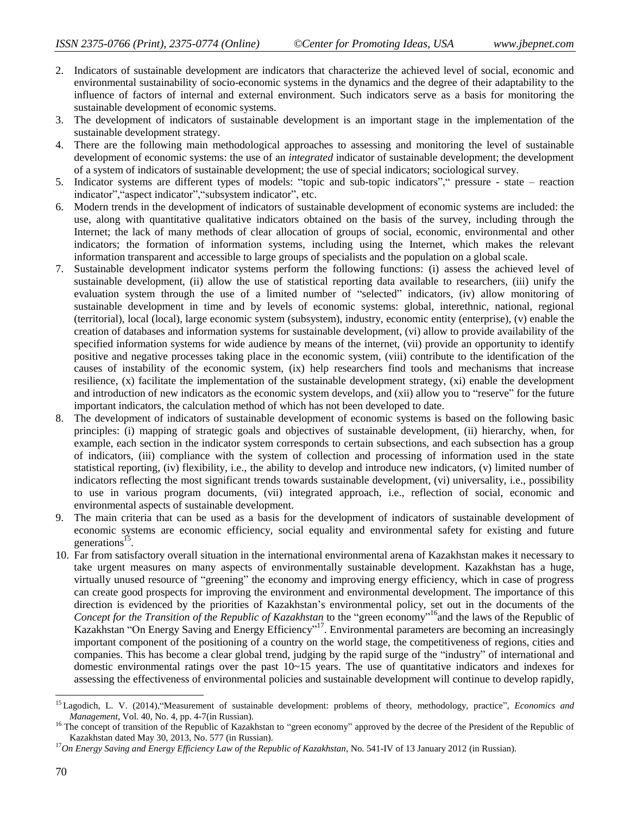- 2. Indicators of sustainable development are indicators that characterize the achieved level of social, economic and environmental sustainability of socio-economic systems in the dynamics and the degree of their adaptability to the influence of factors of internal and external environment. Such indicators serve as a basis for monitoring the sustainable development of economic systems.
- 3. The development of indicators of sustainable development is an important stage in the implementation of the sustainable development strategy.
- 4. There are the following main methodological approaches to assessing and monitoring the level of sustainable development of economic systems: the use of an *integrated* indicator of sustainable development; the development of a system of indicators of sustainable development; the use of special indicators; sociological survey.
- 5. Indicator systems are different types of models: "topic and sub-topic indicators", "pressure state reaction indicator", "aspect indicator", "subsystem indicator", etc.
- 6. Modern trends in the development of indicators of sustainable development of economic systems are included: the use, along with quantitative qualitative indicators obtained on the basis of the survey, including through the Internet; the lack of many methods of clear allocation of groups of social, economic, environmental and other indicators; the formation of information systems, including using the Internet, which makes the relevant information transparent and accessible to large groups of specialists and the population on a global scale.
- 7. Sustainable development indicator systems perform the following functions: (i) assess the achieved level of sustainable development, (ii) allow the use of statistical reporting data available to researchers, (iii) unify the evaluation system through the use of a limited number of "selected" indicators, (iv) allow monitoring of sustainable development in time and by levels of economic systems: global, interethnic, national, regional (territorial), local (local), large economic system (subsystem), industry, economic entity (enterprise), (v) enable the creation of databases and information systems for sustainable development, (vi) allow to provide availability of the specified information systems for wide audience by means of the internet, (vii) provide an opportunity to identify positive and negative processes taking place in the economic system, (viii) contribute to the identification of the causes of instability of the economic system, (ix) help researchers find tools and mechanisms that increase resilience, (x) facilitate the implementation of the sustainable development strategy, (xi) enable the development and introduction of new indicators as the economic system develops, and (xii) allow you to "reserve" for the future important indicators, the calculation method of which has not been developed to date.
- 8. The development of indicators of sustainable development of economic systems is based on the following basic principles: (i) mapping of strategic goals and objectives of sustainable development, (ii) hierarchy, when, for example, each section in the indicator system corresponds to certain subsections, and each subsection has a group of indicators, (iii) compliance with the system of collection and processing of information used in the state statistical reporting, (iv) flexibility, i.e., the ability to develop and introduce new indicators, (v) limited number of indicators reflecting the most significant trends towards sustainable development, (vi) universality, i.e., possibility to use in various program documents, (vii) integrated approach, i.e., reflection of social, economic and environmental aspects of sustainable development.
- 9. The main criteria that can be used as a basis for the development of indicators of sustainable development of economic systems are economic efficiency, social equality and environmental safety for existing and future generations<sup>15</sup>.
- 10. Far from satisfactory overall situation in the international environmental arena of Kazakhstan makes it necessary to take urgent measures on many aspects of environmentally sustainable development. Kazakhstan has a huge, virtually unused resource of "greening" the economy and improving energy efficiency, which in case of progress can create good prospects for improving the environment and environmental development. The importance of this direction is evidenced by the priorities of Kazakhstan's environmental policy, set out in the documents of the Concept for the Transition of the Republic of Kazakhstan to the "green economy"<sup>16</sup> and the laws of the Republic of Kazakhstan "On Energy Saving and Energy Efficiency"<sup>17</sup>. Environmental parameters are becoming an increasingly important component of the positioning of a country on the world stage, the competitiveness of regions, cities and companies. This has become a clear global trend, judging by the rapid surge of the "industry" of international and domestic environmental ratings over the past  $10~15$  years. The use of quantitative indicators and indexes for assessing the effectiveness of environmental policies and sustainable development will continue to develop rapidly,

 $\overline{a}$ 

<sup>&</sup>lt;sup>15</sup> Lagodich, L. V. (2014), "Measurement of sustainable development: problems of theory, methodology, practice", *Economics and Management*, Vol. 40, No. 4, pp. 4-7(in Russian).

<sup>&</sup>lt;sup>16</sup> The concept of transition of the Republic of Kazakhstan to "green economy" approved by the decree of the President of the Republic of Kazakhstan dated May 30, 2013, No. 577 (in Russian).

<sup>&</sup>lt;sup>17</sup>On Energy Saving and Energy Efficiency Law of the Republic of Kazakhstan, No. 541-IV of 13 January 2012 (in Russian).